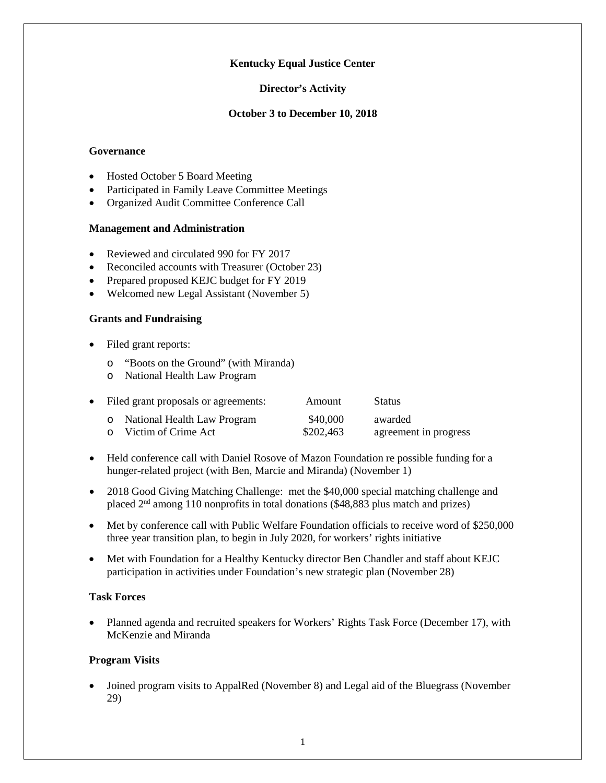## **Kentucky Equal Justice Center**

#### **Director's Activity**

### **October 3 to December 10, 2018**

#### **Governance**

- Hosted October 5 Board Meeting
- Participated in Family Leave Committee Meetings
- Organized Audit Committee Conference Call

### **Management and Administration**

- Reviewed and circulated 990 for FY 2017
- Reconciled accounts with Treasurer (October 23)
- Prepared proposed KEJC budget for FY 2019
- Welcomed new Legal Assistant (November 5)

### **Grants and Fundraising**

- Filed grant reports:
	- o "Boots on the Ground" (with Miranda)
	- o National Health Law Program

| • Filed grant proposals or agreements: |                               | Amount    | <b>Status</b>         |
|----------------------------------------|-------------------------------|-----------|-----------------------|
|                                        | o National Health Law Program | \$40,000  | awarded               |
|                                        | o Victim of Crime Act         | \$202,463 | agreement in progress |

- Held conference call with Daniel Rosove of Mazon Foundation re possible funding for a hunger-related project (with Ben, Marcie and Miranda) (November 1)
- 2018 Good Giving Matching Challenge: met the \$40,000 special matching challenge and placed 2nd among 110 nonprofits in total donations (\$48,883 plus match and prizes)
- Met by conference call with Public Welfare Foundation officials to receive word of \$250,000 three year transition plan, to begin in July 2020, for workers' rights initiative
- Met with Foundation for a Healthy Kentucky director Ben Chandler and staff about KEJC participation in activities under Foundation's new strategic plan (November 28)

# **Task Forces**

• Planned agenda and recruited speakers for Workers' Rights Task Force (December 17), with McKenzie and Miranda

### **Program Visits**

• Joined program visits to AppalRed (November 8) and Legal aid of the Bluegrass (November 29)